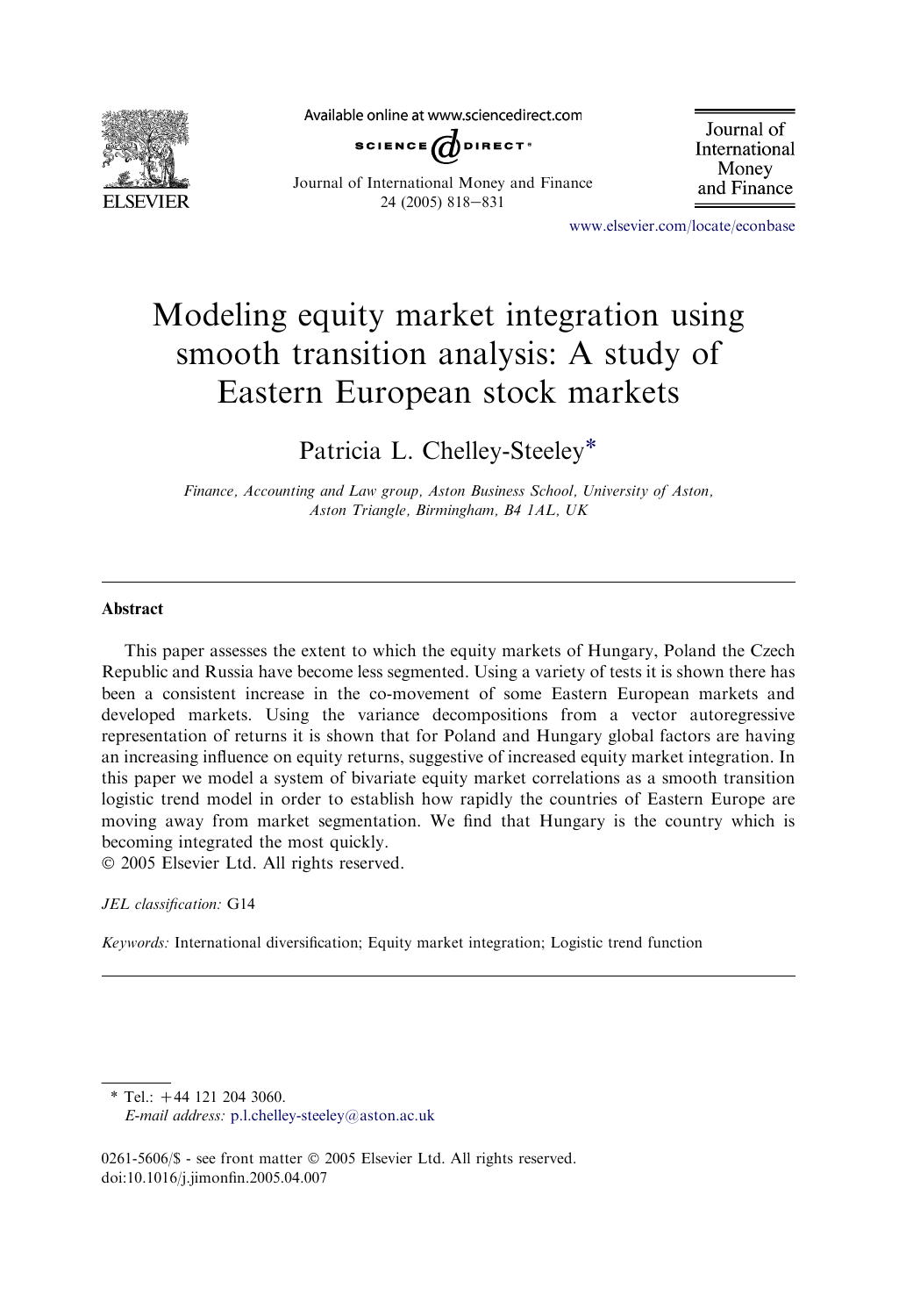

Available online at www.sciencedirect.com



Journal of International Money and Finance 24 (2005) 818-831

Journal of International Money and Finance

[www.elsevier.com/locate/econbase](http://www.elsevier.com/locate/econbase)

## Modeling equity market integration using smooth transition analysis: A study of Eastern European stock markets

Patricia L. Chelley-Steeley\*

Finance, Accounting and Law group, Aston Business School, University of Aston, Aston Triangle, Birmingham, B4 1AL, UK

## Abstract

This paper assesses the extent to which the equity markets of Hungary, Poland the Czech Republic and Russia have become less segmented. Using a variety of tests it is shown there has been a consistent increase in the co-movement of some Eastern European markets and developed markets. Using the variance decompositions from a vector autoregressive representation of returns it is shown that for Poland and Hungary global factors are having an increasing influence on equity returns, suggestive of increased equity market integration. In this paper we model a system of bivariate equity market correlations as a smooth transition logistic trend model in order to establish how rapidly the countries of Eastern Europe are moving away from market segmentation. We find that Hungary is the country which is becoming integrated the most quickly.

2005 Elsevier Ltd. All rights reserved.

JEL classification: G14

Keywords: International diversification; Equity market integration; Logistic trend function

 $*$  Tel.:  $+44$  121 204 3060.

E-mail address: [p.l.chelley-steeley@aston.ac.uk](mailto:p.l.chelley-steeley@aston.ac.uk)

0261-5606/\$ - see front matter © 2005 Elsevier Ltd. All rights reserved. doi:10.1016/j.jimonfin.2005.04.007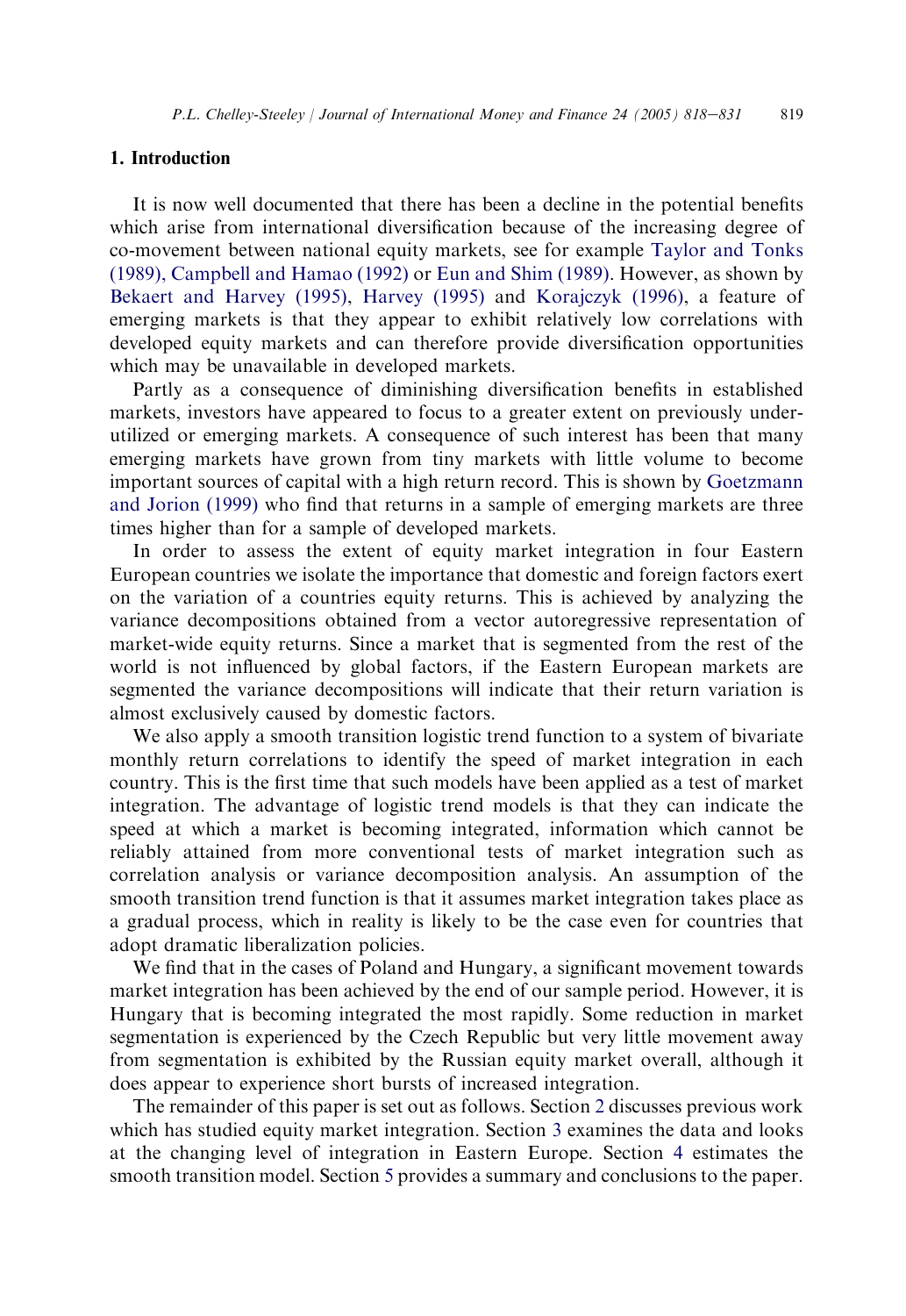## 1. Introduction

It is now well documented that there has been a decline in the potential benefits which arise from international diversification because of the increasing degree of co-movement between national equity markets, see for example [Taylor and Tonks](#page--1-0) [\(1989\), Campbell and Hamao \(1992\)](#page--1-0) or [Eun and Shim \(1989\).](#page--1-0) However, as shown by [Bekaert and Harvey \(1995\)](#page--1-0), [Harvey \(1995\)](#page--1-0) and [Korajczyk \(1996\)](#page--1-0), a feature of emerging markets is that they appear to exhibit relatively low correlations with developed equity markets and can therefore provide diversification opportunities which may be unavailable in developed markets.

Partly as a consequence of diminishing diversification benefits in established markets, investors have appeared to focus to a greater extent on previously underutilized or emerging markets. A consequence of such interest has been that many emerging markets have grown from tiny markets with little volume to become important sources of capital with a high return record. This is shown by [Goetzmann](#page--1-0) [and Jorion \(1999\)](#page--1-0) who find that returns in a sample of emerging markets are three times higher than for a sample of developed markets.

In order to assess the extent of equity market integration in four Eastern European countries we isolate the importance that domestic and foreign factors exert on the variation of a countries equity returns. This is achieved by analyzing the variance decompositions obtained from a vector autoregressive representation of market-wide equity returns. Since a market that is segmented from the rest of the world is not influenced by global factors, if the Eastern European markets are segmented the variance decompositions will indicate that their return variation is almost exclusively caused by domestic factors.

We also apply a smooth transition logistic trend function to a system of bivariate monthly return correlations to identify the speed of market integration in each country. This is the first time that such models have been applied as a test of market integration. The advantage of logistic trend models is that they can indicate the speed at which a market is becoming integrated, information which cannot be reliably attained from more conventional tests of market integration such as correlation analysis or variance decomposition analysis. An assumption of the smooth transition trend function is that it assumes market integration takes place as a gradual process, which in reality is likely to be the case even for countries that adopt dramatic liberalization policies.

We find that in the cases of Poland and Hungary, a significant movement towards market integration has been achieved by the end of our sample period. However, it is Hungary that is becoming integrated the most rapidly. Some reduction in market segmentation is experienced by the Czech Republic but very little movement away from segmentation is exhibited by the Russian equity market overall, although it does appear to experience short bursts of increased integration.

The remainder of this paper is set out as follows. Section 2 discusses previous work which has studied equity market integration. Section 3 examines the data and looks at the changing level of integration in Eastern Europe. Section 4 estimates the smooth transition model. Section 5 provides a summary and conclusions to the paper.